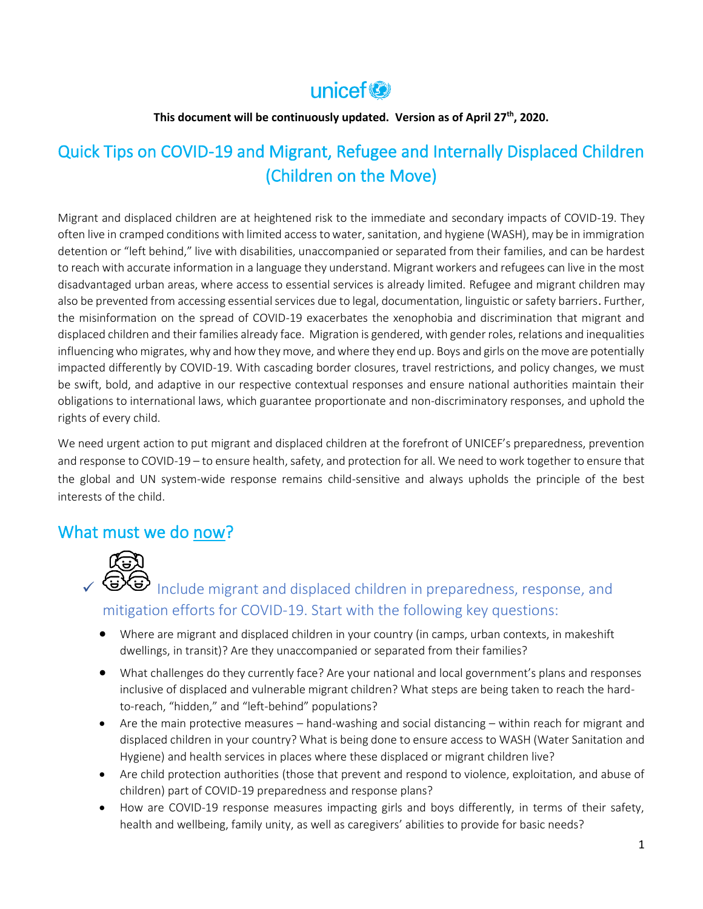## unicef<sup>®</sup>

#### **This document will be continuously updated. Version as of April 27th, 2020.**

### Quick Tips on COVID-19 and Migrant, Refugee and Internally Displaced Children (Children on the Move)

Migrant and displaced children are at heightened risk to the immediate and secondary impacts of COVID-19. They often live in cramped conditions with limited access to water, sanitation, and hygiene (WASH), may be in immigration detention or "left behind," live with disabilities, unaccompanied or separated from their families, and can be hardest to reach with accurate information in a language they understand. Migrant workers and refugees can live in the most disadvantaged urban areas, where access to essential services is already limited. Refugee and migrant children may also be prevented from accessing essential services due to legal, documentation, linguistic or safety barriers. Further, the misinformation on the spread of COVID-19 exacerbates the xenophobia and discrimination that migrant and displaced children and their families already face. Migration is gendered, with gender roles, relations and inequalities influencing who migrates, why and how they move, and where they end up. Boys and girls on the move are potentially impacted differently by COVID-19. With cascading border closures, travel restrictions, and policy changes, we must be swift, bold, and adaptive in our respective contextual responses and ensure national authorities maintain their obligations to international laws, which guarantee proportionate and non-discriminatory responses, and uphold the rights of every child.

We need urgent action to put migrant and displaced children at the forefront of UNICEF's preparedness, prevention and response to COVID-19 – to ensure health, safety, and protection for all. We need to work together to ensure that the global and UN system-wide response remains child-sensitive and always upholds the principle of the best interests of the child.

### What must we do now?



**GU** Include migrant and displaced children in preparedness, response, and mitigation efforts for COVID-19. Start with the following key questions:

- Where are migrant and displaced children in your country (in camps, urban contexts, in makeshift dwellings, in transit)? Are they unaccompanied or separated from their families?
- What challenges do they currently face? Are your national and local government's plans and responses inclusive of displaced and vulnerable migrant children? What steps are being taken to reach the hardto-reach, "hidden," and "left-behind" populations?
- Are the main protective measures hand-washing and social distancing within reach for migrant and displaced children in your country? What is being done to ensure access to WASH (Water Sanitation and Hygiene) and health services in places where these displaced or migrant children live?
- Are child protection authorities (those that prevent and respond to violence, exploitation, and abuse of children) part of COVID-19 preparedness and response plans?
- How are COVID-19 response measures impacting girls and boys differently, in terms of their safety, health and wellbeing, family unity, as well as caregivers' abilities to provide for basic needs?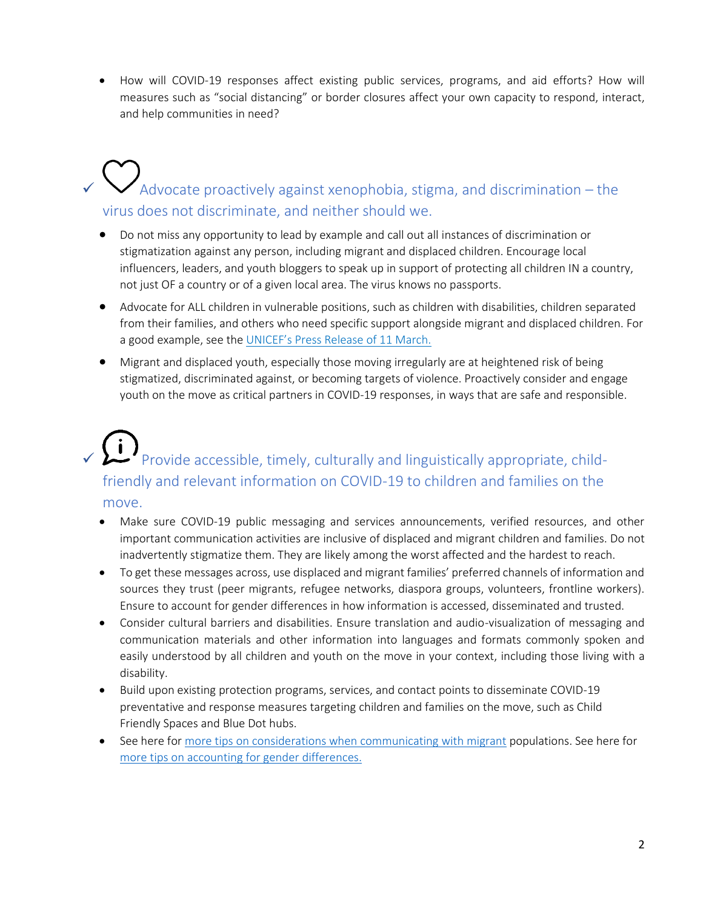• How will COVID-19 responses affect existing public services, programs, and aid efforts? How will measures such as "social distancing" or border closures affect your own capacity to respond, interact, and help communities in need?

# $\checkmark$  Advocate proactively against xenophobia, stigma, and discrimination – the virus does not discriminate, and neither should we.

- Do not miss any opportunity to lead by example and call out all instances of discrimination or stigmatization against any person, including migrant and displaced children. Encourage local influencers, leaders, and youth bloggers to speak up in support of protecting all children IN a country, not just OF a country or of a given local area. The virus knows no passports.
- Advocate for ALL children in vulnerable positions, such as children with disabilities, children separated from their families, and others who need specific support alongside migrant and displaced children. For a good example, see the [UNICEF's Press Release of 11 March.](https://www.unicef.org/press-releases/unicef-statement-covid-19-outbreak)
- Migrant and displaced youth, especially those moving irregularly are at heightened risk of being stigmatized, discriminated against, or becoming targets of violence. Proactively consider and engage youth on the move as critical partners in COVID-19 responses, in ways that are safe and responsible.

## $\sqrt{1}$  Provide accessible, timely, culturally and linguistically appropriate, childfriendly and relevant information on COVID-19 to children and families on the move.

- Make sure COVID-19 public messaging and services announcements, verified resources, and other important communication activities are inclusive of displaced and migrant children and families. Do not inadvertently stigmatize them. They are likely among the worst affected and the hardest to reach.
- To get these messages across, use displaced and migrant families' preferred channels of information and sources they trust (peer migrants, refugee networks, diaspora groups, volunteers, frontline workers). Ensure to account for gender differences in how information is accessed, disseminated and trusted.
- Consider cultural barriers and disabilities. Ensure translation and audio-visualization of messaging and communication materials and other information into languages and formats commonly spoken and easily understood by all children and youth on the move in your context, including those living with a disability.
- Build upon existing protection programs, services, and contact points to disseminate COVID-19 preventative and response measures targeting children and families on the move, such as Child Friendly Spaces and Blue Dot hubs.
- See here for [more tips](https://micicinitiative.iom.int/guidelines/guideline-9-communicate-widely-effectively-and-often-migrants-evolving-crises-and-how) on considerations when communicating with migrant populations. See here for more tips on accounting for gender differences.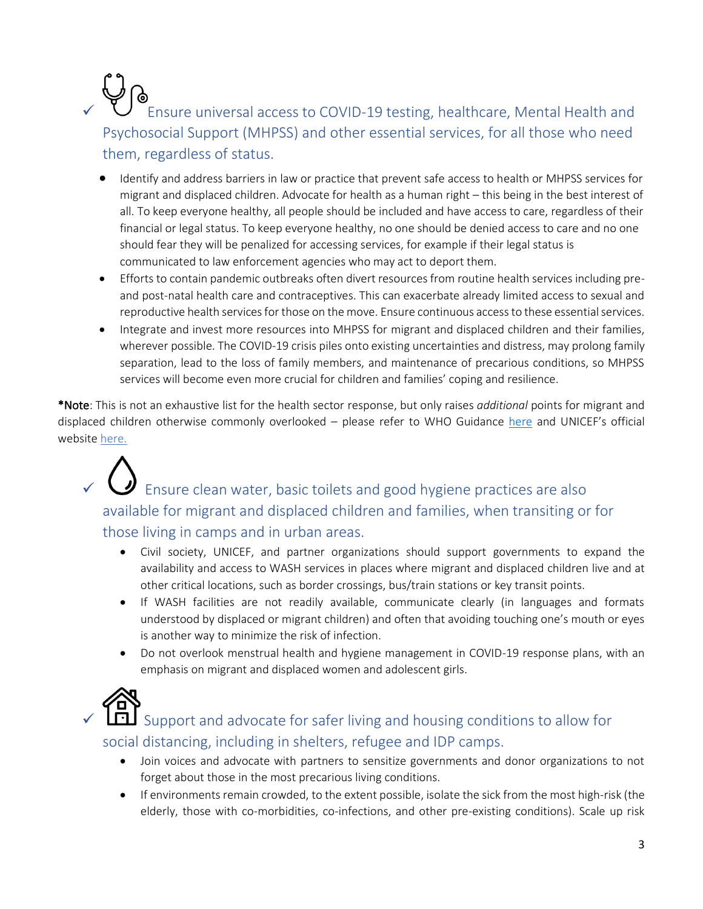## ✓ Ensure universal access to COVID-19 testing, healthcare, Mental Health and Psychosocial Support (MHPSS) and other essential services, for all those who need them, regardless of status.

- Identify and address barriers in law or practice that prevent safe access to health or MHPSS services for migrant and displaced children. Advocate for health as a human right – this being in the best interest of all. To keep everyone healthy, all people should be included and have access to care, regardless of their financial or legal status. To keep everyone healthy, no one should be denied access to care and no one should fear they will be penalized for accessing services, for example if their legal status is communicated to law enforcement agencies who may act to deport them.
- Efforts to contain pandemic outbreaks often divert resources from routine health services including preand post-natal health care and contraceptives. This can exacerbate already limited access to sexual and reproductive health services for those on the move. Ensure continuous access to these essential services.
- Integrate and invest more resources into MHPSS for migrant and displaced children and their families, wherever possible. The COVID-19 crisis piles onto existing uncertainties and distress, may prolong family separation, lead to the loss of family members, and maintenance of precarious conditions, so MHPSS services will become even more crucial for children and families' coping and resilience.

\*Note: This is not an exhaustive list for the health sector response, but only raises *additional* points for migrant and displaced children otherwise commonly overlooked – please refer to WHO Guidance [here](https://www.who.int/emergencies/diseases/novel-coronavirus-2019/technical-guidance/critical-preparedness-readiness-and-response-actions-for-covid-19) and UNICEF's official website [here.](https://www.unicef.org/coronavirus/covid-19)

 $\bigcup$  Ensure clean water, basic toilets and good hygiene practices are also available for migrant and displaced children and families, when transiting or for those living in camps and in urban areas.

- Civil society, UNICEF, and partner organizations should support governments to expand the availability and access to WASH services in places where migrant and displaced children live and at other critical locations, such as border crossings, bus/train stations or key transit points.
- If WASH facilities are not readily available, communicate clearly (in languages and formats understood by displaced or migrant children) and often that avoiding touching one's mouth or eyes is another way to minimize the risk of infection.
- Do not overlook menstrual health and hygiene management in COVID-19 response plans, with an emphasis on migrant and displaced women and adolescent girls.



Support and advocate for safer living and housing conditions to allow for social distancing, including in shelters, refugee and IDP camps.

- Join voices and advocate with partners to sensitize governments and donor organizations to not forget about those in the most precarious living conditions.
- If environments remain crowded, to the extent possible, isolate the sick from the most high-risk (the elderly, those with co-morbidities, co-infections, and other pre-existing conditions). Scale up risk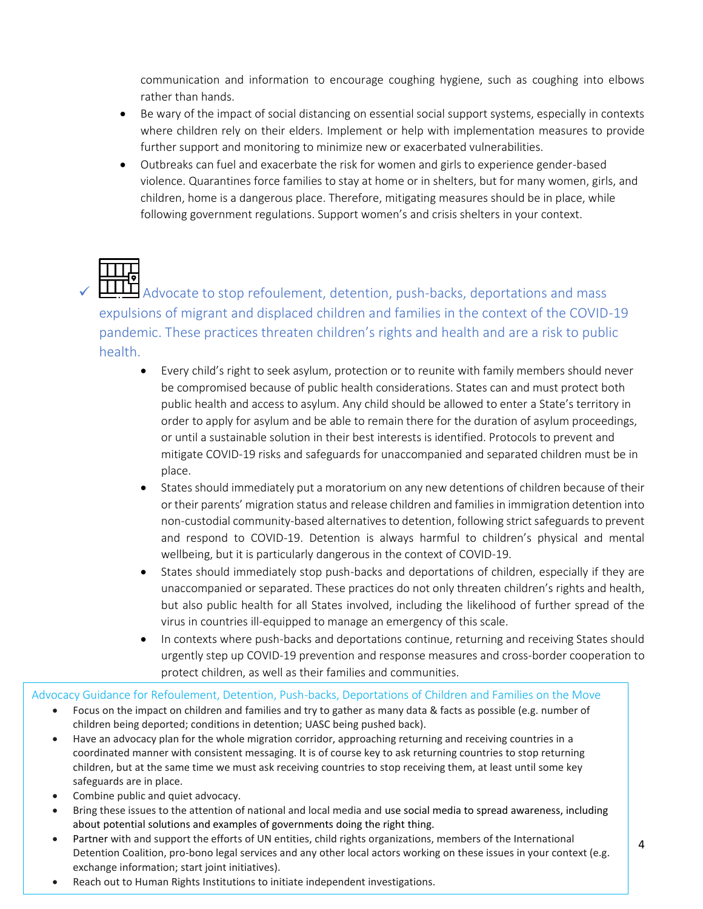communication and information to encourage coughing hygiene, such as coughing into elbows rather than hands.

- Be wary of the impact of social distancing on essential social support systems, especially in contexts where children rely on their elders. Implement or help with implementation measures to provide further support and monitoring to minimize new or exacerbated vulnerabilities.
- Outbreaks can fuel and exacerbate the risk for women and girls to experience gender-based violence. Quarantines force families to stay at home or in shelters, but for many women, girls, and children, home is a dangerous place. Therefore, mitigating measures should be in place, while following government regulations. Support women's and crisis shelters in your context.

**TITH** Advocate to stop refoulement, detention, push-backs, deportations and mass expulsions of migrant and displaced children and families in the context of the COVID-19 pandemic. These practices threaten children's rights and health and are a risk to public health.

- Every child's right to seek asylum, protection or to reunite with family members should never be compromised because of public health considerations. States can and must protect both public health and access to asylum. Any child should be allowed to enter a State's territory in order to apply for asylum and be able to remain there for the duration of asylum proceedings, or until a sustainable solution in their best interests is identified. Protocols to prevent and mitigate COVID-19 risks and safeguards for unaccompanied and separated children must be in place.
- States should immediately put a moratorium on any new detentions of children because of their or their parents' migration status and release children and families in immigration detention into non-custodial community-based alternatives to detention, following strict safeguards to prevent and respond to COVID-19. Detention is always harmful to children's physical and mental wellbeing, but it is particularly dangerous in the context of COVID-19.
- States should immediately stop push-backs and deportations of children, especially if they are unaccompanied or separated. These practices do not only threaten children's rights and health, but also public health for all States involved, including the likelihood of further spread of the virus in countries ill-equipped to manage an emergency of this scale.
- In contexts where push-backs and deportations continue, returning and receiving States should urgently step up COVID-19 prevention and response measures and cross-border cooperation to protect children, as well as their families and communities.

Advocacy Guidance for Refoulement, Detention, Push-backs, Deportations of Children and Families on the Move

- Focus on the impact on children and families and try to gather as many data & facts as possible (e.g. number of children being deported; conditions in detention; UASC being pushed back).
- Have an advocacy plan for the whole migration corridor, approaching returning and receiving countries in a coordinated manner with consistent messaging. It is of course key to ask returning countries to stop returning children, but at the same time we must ask receiving countries to stop receiving them, at least until some key safeguards are in place.
- Combine public and quiet advocacy.
- Bring these issues to the attention of national and local media and use social media to spread awareness, including about potential solutions and examples of governments doing the right thing.
- Partner with and support the efforts of UN entities, child rights organizations, members of the International Detention Coalition, pro-bono legal services and any other local actors working on these issues in your context (e.g. exchange information; start joint initiatives).
- Reach out to Human Rights Institutions to initiate independent investigations.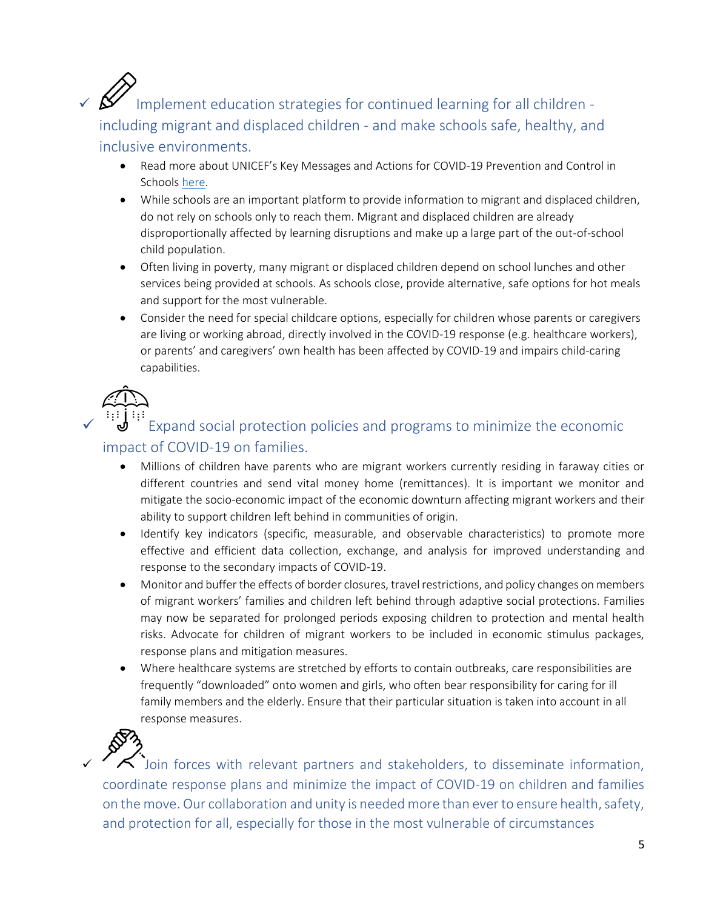## Implement education strategies for continued learning for all children including migrant and displaced children - and make schools safe, healthy, and inclusive environments.

- Read more about UNICEF's Key Messages and Actions for COVID-19 Prevention and Control in Schools [here.](https://www.unicef.org/reports/key-messages-and-actions-coronavirus-disease-covid-19-prevention-and-control-schools)
- While schools are an important platform to provide information to migrant and displaced children, do not rely on schools only to reach them. Migrant and displaced children are already disproportionally affected by learning disruptions and make up a large part of the out-of-school child population.
- Often living in poverty, many migrant or displaced children depend on school lunches and other services being provided at schools. As schools close, provide alternative, safe options for hot meals and support for the most vulnerable.
- Consider the need for special childcare options, especially for children whose parents or caregivers are living or working abroad, directly involved in the COVID-19 response (e.g. healthcare workers), or parents' and caregivers' own health has been affected by COVID-19 and impairs child-caring capabilities.

Expand social protection policies and programs to minimize the economic impact of COVID-19 on families.

- Millions of children have parents who are migrant workers currently residing in faraway cities or different countries and send vital money home (remittances). It is important we monitor and mitigate the socio-economic impact of the economic downturn affecting migrant workers and their ability to support children left behind in communities of origin.
- Identify key indicators (specific, measurable, and observable characteristics) to promote more effective and efficient data collection, exchange, and analysis for improved understanding and response to the secondary impacts of COVID-19.
- Monitor and buffer the effects of border closures, travel restrictions, and policy changes on members of migrant workers' families and children left behind through adaptive social protections. Families may now be separated for prolonged periods exposing children to protection and mental health risks. Advocate for children of migrant workers to be included in economic stimulus packages, response plans and mitigation measures.
- Where healthcare systems are stretched by efforts to contain outbreaks, care responsibilities are frequently "downloaded" onto women and girls, who often bear responsibility for caring for ill family members and the elderly. Ensure that their particular situation is taken into account in all response measures.



Join forces with relevant partners and stakeholders, to disseminate information, coordinate response plans and minimize the impact of COVID-19 on children and families on the move. Our collaboration and unity is needed more than ever to ensure health, safety, and protection for all, especially for those in the most vulnerable of circumstances